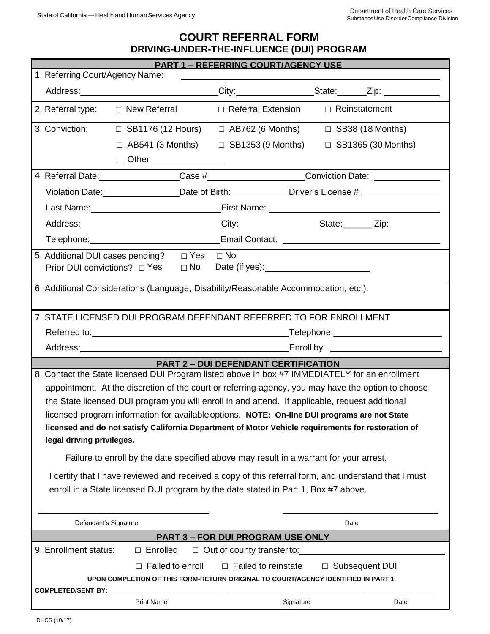# **COURT REFERRAL FORM DRIVING-UNDER-THE-INFLUENCE (DUI) PROGRAM**

| <b>PART 1 - REFERRING COURT/AGENCY USE</b>                                                                                                                                                            |                                                                                               |                                                                                                     |                  |                           |
|-------------------------------------------------------------------------------------------------------------------------------------------------------------------------------------------------------|-----------------------------------------------------------------------------------------------|-----------------------------------------------------------------------------------------------------|------------------|---------------------------|
| 1. Referring Court/Agency Name:                                                                                                                                                                       |                                                                                               |                                                                                                     |                  |                           |
|                                                                                                                                                                                                       |                                                                                               | Address: _____________________________City: _________________State: ______Zip: ____________________ |                  |                           |
|                                                                                                                                                                                                       |                                                                                               | 2. Referral type: $\Box$ New Referral $\Box$ Referral Extension $\Box$ Reinstatement                |                  |                           |
|                                                                                                                                                                                                       |                                                                                               | 3. Conviction: $\square$ SB1176 (12 Hours) $\square$ AB762 (6 Months)                               |                  | $\Box$ SB38 (18 Months)   |
|                                                                                                                                                                                                       |                                                                                               | $\Box$ AB541 (3 Months) $\Box$ SB1353 (9 Months)                                                    |                  | $\Box$ SB1365 (30 Months) |
|                                                                                                                                                                                                       | □ Other ______________                                                                        |                                                                                                     |                  |                           |
|                                                                                                                                                                                                       |                                                                                               |                                                                                                     |                  |                           |
|                                                                                                                                                                                                       | Violation Date: <u>Conserver Communication</u> Date of Birth: Communication Diver's License # |                                                                                                     |                  |                           |
|                                                                                                                                                                                                       |                                                                                               |                                                                                                     |                  |                           |
|                                                                                                                                                                                                       |                                                                                               |                                                                                                     |                  |                           |
|                                                                                                                                                                                                       |                                                                                               |                                                                                                     |                  |                           |
| 5. Additional DUI cases pending?                                                                                                                                                                      |                                                                                               | $\Box$ Yes $\Box$ No                                                                                |                  |                           |
| Prior DUI convictions? □ Yes                                                                                                                                                                          | $\Box$ No                                                                                     |                                                                                                     |                  |                           |
| 6. Additional Considerations (Language, Disability/Reasonable Accommodation, etc.):                                                                                                                   |                                                                                               |                                                                                                     |                  |                           |
| 7. STATE LICENSED DUI PROGRAM DEFENDANT REFERRED TO FOR ENROLLMENT                                                                                                                                    |                                                                                               |                                                                                                     |                  |                           |
|                                                                                                                                                                                                       |                                                                                               |                                                                                                     |                  |                           |
|                                                                                                                                                                                                       |                                                                                               |                                                                                                     |                  |                           |
| <b>PART 2 – DUI DEFENDANT CERTIFICATION</b>                                                                                                                                                           |                                                                                               |                                                                                                     |                  |                           |
| 8. Contact the State licensed DUI Program listed above in box #7 IMMEDIATELY for an enrollment                                                                                                        |                                                                                               |                                                                                                     |                  |                           |
| appointment. At the discretion of the court or referring agency, you may have the option to choose<br>the State licensed DUI program you will enroll in and attend. If applicable, request additional |                                                                                               |                                                                                                     |                  |                           |
| licensed program information for available options. NOTE: On-line DUI programs are not State                                                                                                          |                                                                                               |                                                                                                     |                  |                           |
| licensed and do not satisfy California Department of Motor Vehicle requirements for restoration of                                                                                                    |                                                                                               |                                                                                                     |                  |                           |
| legal driving privileges.                                                                                                                                                                             |                                                                                               |                                                                                                     |                  |                           |
| Failure to enroll by the date specified above may result in a warrant for your arrest.                                                                                                                |                                                                                               |                                                                                                     |                  |                           |
| I certify that I have reviewed and received a copy of this referral form, and understand that I must                                                                                                  |                                                                                               |                                                                                                     |                  |                           |
| enroll in a State licensed DUI program by the date stated in Part 1, Box #7 above.                                                                                                                    |                                                                                               |                                                                                                     |                  |                           |
|                                                                                                                                                                                                       |                                                                                               |                                                                                                     |                  |                           |
| Defendant's Signature                                                                                                                                                                                 |                                                                                               |                                                                                                     | Date             |                           |
| <b>PART 3 - FOR DUI PROGRAM USE ONLY</b>                                                                                                                                                              |                                                                                               |                                                                                                     |                  |                           |
| 9. Enrollment status:                                                                                                                                                                                 | $\Box$ Enrolled                                                                               | $\Box$ Out of county transfer to:                                                                   |                  |                           |
|                                                                                                                                                                                                       | Failed to enroll<br>П.                                                                        | $\Box$ Failed to reinstate                                                                          | □ Subsequent DUI |                           |
| UPON COMPLETION OF THIS FORM-RETURN ORIGINAL TO COURT/AGENCY IDENTIFIED IN PART 1.                                                                                                                    |                                                                                               |                                                                                                     |                  |                           |
| <b>COMPLETED/SENT BY:</b>                                                                                                                                                                             |                                                                                               |                                                                                                     |                  |                           |
|                                                                                                                                                                                                       | <b>Print Name</b>                                                                             | Signature                                                                                           |                  | Date                      |